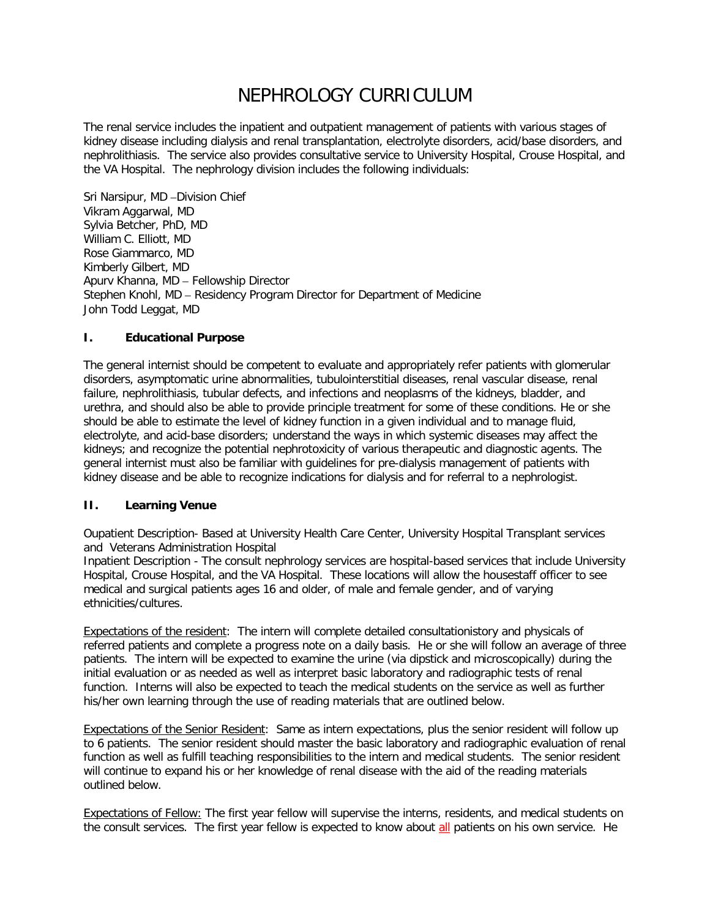# NEPHROLOGY CURRICULUM

The renal service includes the inpatient and outpatient management of patients with various stages of kidney disease including dialysis and renal transplantation, electrolyte disorders, acid/base disorders, and nephrolithiasis. The service also provides consultative service to University Hospital, Crouse Hospital, and the VA Hospital. The nephrology division includes the following individuals:

Sri Narsipur, MD –Division Chief Vikram Aggarwal, MD Sylvia Betcher, PhD, MD William C. Elliott, MD Rose Giammarco, MD Kimberly Gilbert, MD Apurv Khanna, MD – Fellowship Director Stephen Knohl, MD – Residency Program Director for Department of Medicine John Todd Leggat, MD

## **I. Educational Purpose**

The general internist should be competent to evaluate and appropriately refer patients with glomerular disorders, asymptomatic urine abnormalities, tubulointerstitial diseases, renal vascular disease, renal failure, nephrolithiasis, tubular defects, and infections and neoplasms of the kidneys, bladder, and urethra, and should also be able to provide principle treatment for some of these conditions. He or she should be able to estimate the level of kidney function in a given individual and to manage fluid, electrolyte, and acid-base disorders; understand the ways in which systemic diseases may affect the kidneys; and recognize the potential nephrotoxicity of various therapeutic and diagnostic agents. The general internist must also be familiar with guidelines for pre-dialysis management of patients with kidney disease and be able to recognize indications for dialysis and for referral to a nephrologist.

## **II. Learning Venue**

Oupatient Description- Based at University Health Care Center, University Hospital Transplant services and Veterans Administration Hospital

Inpatient Description - The consult nephrology services are hospital-based services that include University Hospital, Crouse Hospital, and the VA Hospital. These locations will allow the housestaff officer to see medical and surgical patients ages 16 and older, of male and female gender, and of varying ethnicities/cultures.

Expectations of the resident: The intern will complete detailed consultationistory and physicals of referred patients and complete a progress note on a daily basis. He or she will follow an average of three patients. The intern will be expected to examine the urine (via dipstick and microscopically) during the initial evaluation or as needed as well as interpret basic laboratory and radiographic tests of renal function. Interns will also be expected to teach the medical students on the service as well as further his/her own learning through the use of reading materials that are outlined below.

Expectations of the Senior Resident: Same as intern expectations, plus the senior resident will follow up to 6 patients. The senior resident should master the basic laboratory and radiographic evaluation of renal function as well as fulfill teaching responsibilities to the intern and medical students. The senior resident will continue to expand his or her knowledge of renal disease with the aid of the reading materials outlined below.

Expectations of Fellow: The first year fellow will supervise the interns, residents, and medical students on the consult services. The first year fellow is expected to know about all patients on his own service. He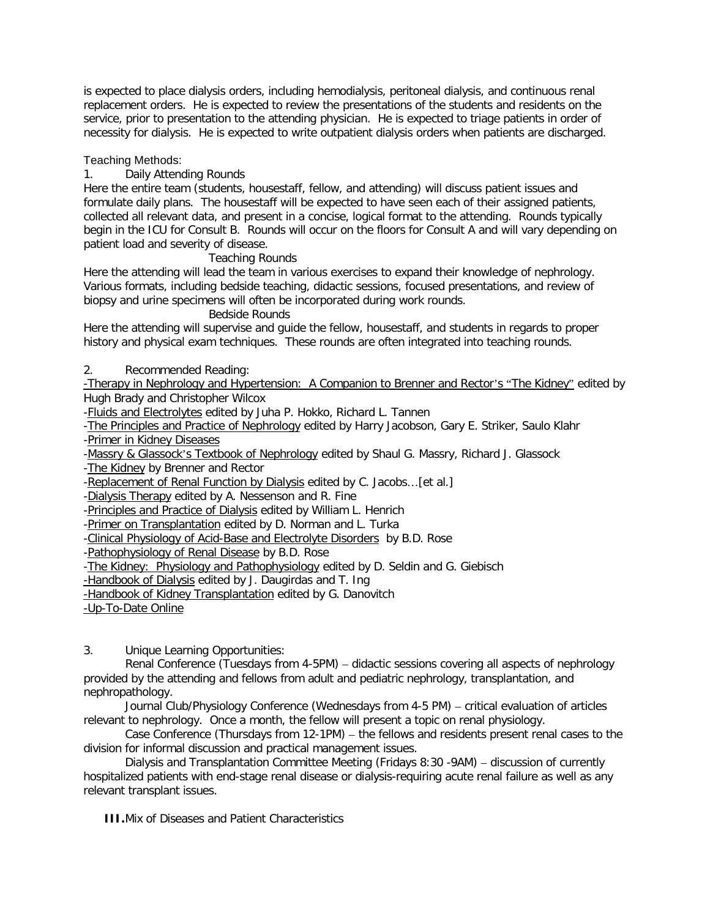is expected to place dialysis orders, including hemodialysis, peritoneal dialysis, and continuous renal replacement orders. He is expected to review the presentations of the students and residents on the service, prior to presentation to the attending physician. He is expected to triage patients in order of necessity for dialysis. He is expected to write outpatient dialysis orders when patients are discharged.

## Teaching Methods:

## 1. Daily Attending Rounds

Here the entire team (students, housestaff, fellow, and attending) will discuss patient issues and formulate daily plans. The housestaff will be expected to have seen each of their assigned patients, collected all relevant data, and present in a concise, logical format to the attending. Rounds typically begin in the ICU for Consult B. Rounds will occur on the floors for Consult A and will vary depending on patient load and severity of disease.

#### Teaching Rounds

Here the attending will lead the team in various exercises to expand their knowledge of nephrology. Various formats, including bedside teaching, didactic sessions, focused presentations, and review of biopsy and urine specimens will often be incorporated during work rounds.

#### Bedside Rounds

Here the attending will supervise and guide the fellow, housestaff, and students in regards to proper history and physical exam techniques. These rounds are often integrated into teaching rounds.

2. Recommended Reading:

-Therapy in Nephrology and Hypertension: A Companion to Brenner and Rector's "The Kidney" edited by Hugh Brady and Christopher Wilcox

-Fluids and Electrolytes edited by Juha P. Hokko, Richard L. Tannen

-The Principles and Practice of Nephrology edited by Harry Jacobson, Gary E. Striker, Saulo Klahr -Primer in Kidney Diseases

-Massry & Glassock's Textbook of Nephrology edited by Shaul G. Massry, Richard J. Glassock

-The Kidney by Brenner and Rector

-Replacement of Renal Function by Dialysis edited by C. Jacobs...[et al.]

-Dialysis Therapy edited by A. Nessenson and R. Fine

-Principles and Practice of Dialysis edited by William L. Henrich

-Primer on Transplantation edited by D. Norman and L. Turka

-Clinical Physiology of Acid-Base and Electrolyte Disorders by B.D. Rose

-Pathophysiology of Renal Disease by B.D. Rose

-The Kidney: Physiology and Pathophysiology edited by D. Seldin and G. Giebisch

-Handbook of Dialysis edited by J. Daugirdas and T. Ing

-Handbook of Kidney Transplantation edited by G. Danovitch

-Up-To-Date Online

3. Unique Learning Opportunities:

Renal Conference (Tuesdays from 4-5PM) – didactic sessions covering all aspects of nephrology provided by the attending and fellows from adult and pediatric nephrology, transplantation, and nephropathology.

Journal Club/Physiology Conference (Wednesdays from 4-5 PM) – critical evaluation of articles relevant to nephrology. Once a month, the fellow will present a topic on renal physiology.

Case Conference (Thursdays from 12-1PM) – the fellows and residents present renal cases to the division for informal discussion and practical management issues.

Dialysis and Transplantation Committee Meeting (Fridays 8:30 -9AM) – discussion of currently hospitalized patients with end-stage renal disease or dialysis-requiring acute renal failure as well as any relevant transplant issues.

**III.**Mix of Diseases and Patient Characteristics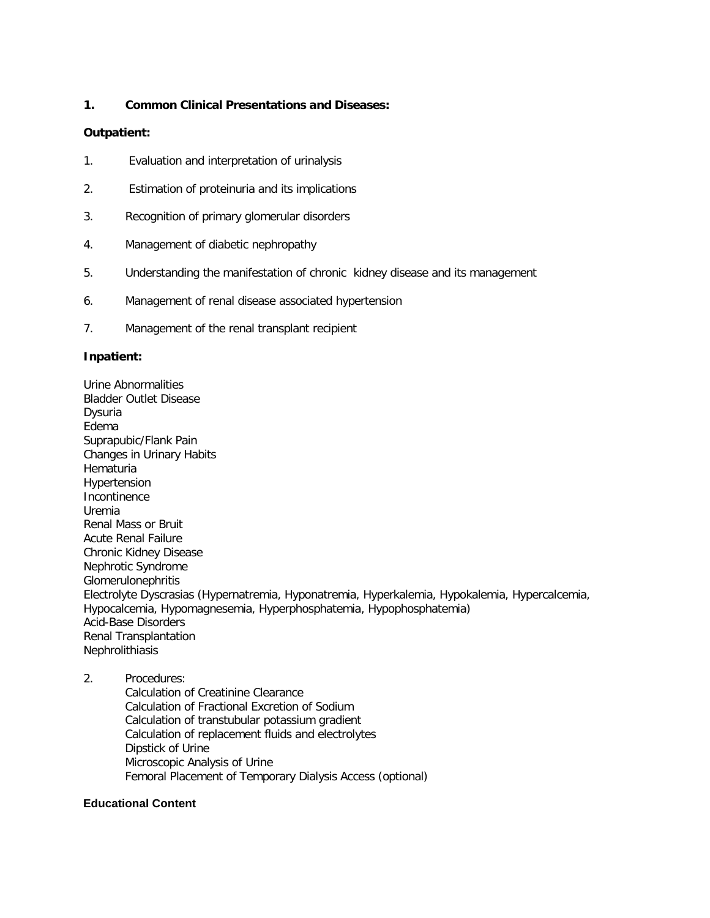#### **1. Common Clinical Presentations and Diseases:**

#### **Outpatient:**

- 1. Evaluation and interpretation of urinalysis
- 2. Estimation of proteinuria and its implications
- 3. Recognition of primary glomerular disorders
- 4. Management of diabetic nephropathy
- 5. Understanding the manifestation of chronic kidney disease and its management
- 6. Management of renal disease associated hypertension
- 7. Management of the renal transplant recipient

#### **Inpatient:**

Urine Abnormalities Bladder Outlet Disease Dysuria Edema Suprapubic/Flank Pain Changes in Urinary Habits **Hematuria** Hypertension **Incontinence** Uremia Renal Mass or Bruit Acute Renal Failure Chronic Kidney Disease Nephrotic Syndrome **Glomerulonephritis** Electrolyte Dyscrasias (Hypernatremia, Hyponatremia, Hyperkalemia, Hypokalemia, Hypercalcemia, Hypocalcemia, Hypomagnesemia, Hyperphosphatemia, Hypophosphatemia) Acid-Base Disorders Renal Transplantation Nephrolithiasis

2. Procedures: Calculation of Creatinine Clearance Calculation of Fractional Excretion of Sodium Calculation of transtubular potassium gradient Calculation of replacement fluids and electrolytes Dipstick of Urine Microscopic Analysis of Urine Femoral Placement of Temporary Dialysis Access (optional)

#### **Educational Content**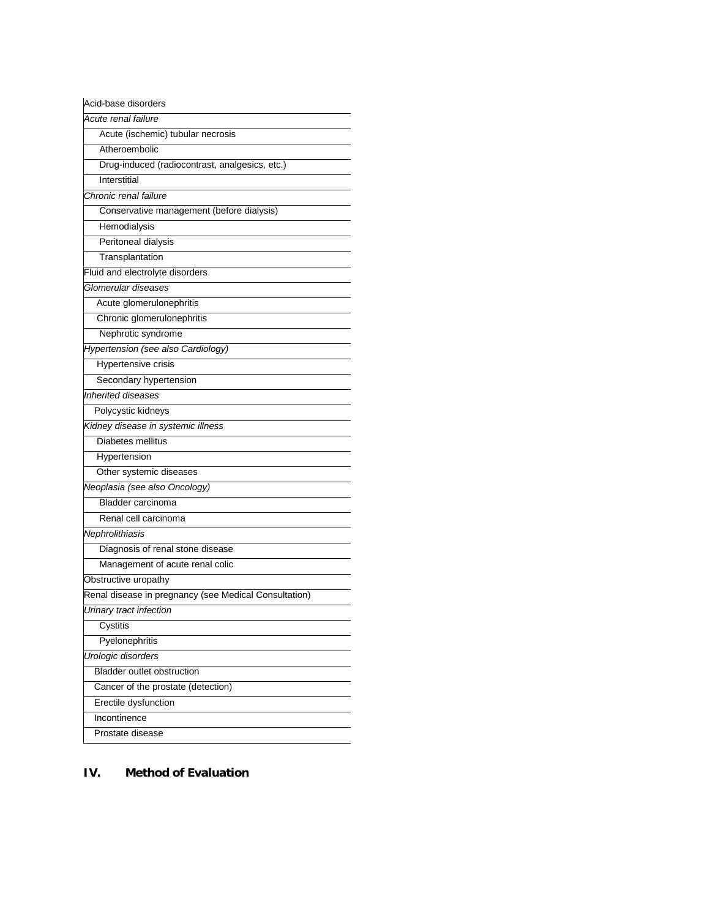| Acid-base disorders                                   |
|-------------------------------------------------------|
| Acute renal failure                                   |
| Acute (ischemic) tubular necrosis                     |
| Atheroembolic                                         |
| Drug-induced (radiocontrast, analgesics, etc.)        |
| Interstitial                                          |
| Chronic renal failure                                 |
| Conservative management (before dialysis)             |
| Hemodialysis                                          |
| Peritoneal dialysis                                   |
| Transplantation                                       |
| Fluid and electrolyte disorders                       |
| Glomerular diseases                                   |
| Acute glomerulonephritis                              |
| Chronic glomerulonephritis                            |
| Nephrotic syndrome                                    |
| Hypertension (see also Cardiology)                    |
| Hypertensive crisis                                   |
| Secondary hypertension                                |
| Inherited diseases                                    |
| Polycystic kidneys                                    |
| Kidney disease in systemic illness                    |
| Diabetes mellitus                                     |
| Hypertension                                          |
| Other systemic diseases                               |
| Neoplasia (see also Oncology)                         |
| <b>Bladder carcinoma</b>                              |
| Renal cell carcinoma                                  |
| Nephrolithiasis                                       |
| Diagnosis of renal stone disease                      |
| Management of acute renal colic                       |
| Obstructive uropathy                                  |
| Renal disease in pregnancy (see Medical Consultation) |
| Urinary tract infection                               |
| Cystitis                                              |
| Pyelonephritis                                        |
| Urologic disorders                                    |
| <b>Bladder outlet obstruction</b>                     |
| Cancer of the prostate (detection)                    |
| Erectile dysfunction                                  |
| Incontinence                                          |
| Prostate disease                                      |

## **IV. Method of Evaluation**

J.